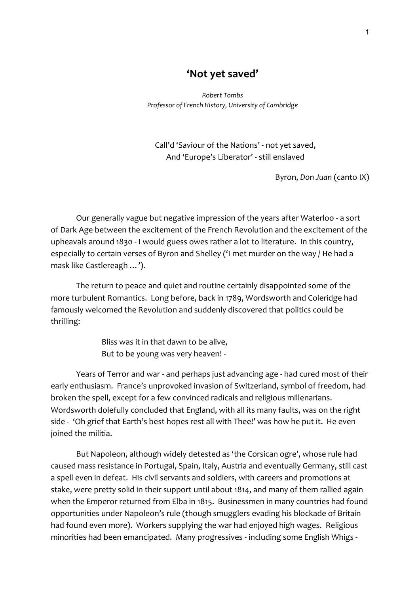## **'Not yet saved'**

*Robert Tombs Professor of French History, University of Cambridge*

Call'd 'Saviour of the Nations' - not yet saved, And 'Europe's Liberator' - still enslaved

Byron, *Don Juan* (canto IX)

Our generally vague but negative impression of the years after Waterloo - a sort of Dark Age between the excitement of the French Revolution and the excitement of the upheavals around 1830 - I would guess owes rather a lot to literature. In this country, especially to certain verses of Byron and Shelley ('I met murder on the way / He had a mask like Castlereagh …').

The return to peace and quiet and routine certainly disappointed some of the more turbulent Romantics. Long before, back in 1789, Wordsworth and Coleridge had famously welcomed the Revolution and suddenly discovered that politics could be thrilling:

> Bliss was it in that dawn to be alive, But to be young was very heaven! -

Years of Terror and war - and perhaps just advancing age - had cured most of their early enthusiasm. France's unprovoked invasion of Switzerland, symbol of freedom, had broken the spell, except for a few convinced radicals and religious millenarians. Wordsworth dolefully concluded that England, with all its many faults, was on the right side - 'Oh grief that Earth's best hopes rest all with Thee!' was how he put it. He even joined the militia.

But Napoleon, although widely detested as 'the Corsican ogre', whose rule had caused mass resistance in Portugal, Spain, Italy, Austria and eventually Germany, still cast a spell even in defeat. His civil servants and soldiers, with careers and promotions at stake, were pretty solid in their support until about 1814, and many of them rallied again when the Emperor returned from Elba in 1815. Businessmen in many countries had found opportunities under Napoleon's rule (though smugglers evading his blockade of Britain had found even more). Workers supplying the war had enjoyed high wages. Religious minorities had been emancipated. Many progressives - including some English Whigs -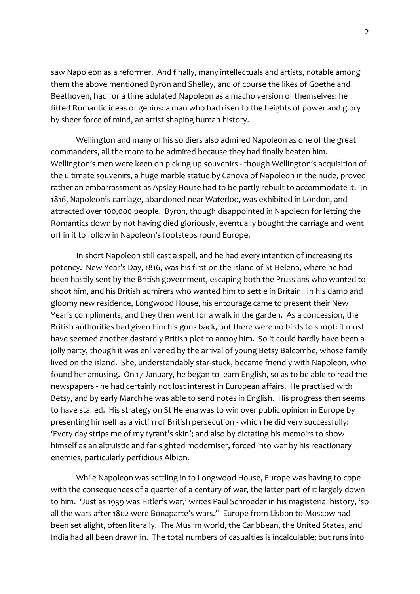saw Napoleon as a reformer. And finally, many intellectuals and artists, notable among them the above mentioned Byron and Shelley, and of course the likes of Goethe and Beethoven, had for a time adulated Napoleon as a macho version of themselves: he fitted Romantic ideas of genius: a man who had risen to the heights of power and glory by sheer force of mind, an artist shaping human history.

Wellington and many of his soldiers also admired Napoleon as one of the great commanders, all the more to be admired because they had finally beaten him. Wellington's men were keen on picking up souvenirs - though Wellington's acquisition of the ultimate souvenirs, a huge marble statue by Canova of Napoleon in the nude, proved rather an embarrassment as Apsley House had to be partly rebuilt to accommodate it. In 1816, Napoleon's carriage, abandoned near Waterloo, was exhibited in London, and attracted over 100,000 people. Byron, though disappointed in Napoleon for letting the Romantics down by not having died gloriously, eventually bought the carriage and went off in it to follow in Napoleon's footsteps round Europe.

In short Napoleon still cast a spell, and he had every intention of increasing its potency. New Year's Day, 1816, was his first on the island of St Helena, where he had been hastily sent by the British government, escaping both the Prussians who wanted to shoot him, and his British admirers who wanted him to settle in Britain. In his damp and gloomy new residence, Longwood House, his entourage came to present their New Year's compliments, and they then went for a walk in the garden. As a concession, the British authorities had given him his guns back, but there were no birds to shoot: it must have seemed another dastardly British plot to annoy him. So it could hardly have been a jolly party, though it was enlivened by the arrival of young Betsy Balcombe, whose family lived on the island. She, understandably star-stuck, became friendly with Napoleon, who found her amusing. On 17 January, he began to learn English, so as to be able to read the newspapers - he had certainly not lost interest in European affairs. He practised with Betsy, and by early March he was able to send notes in English. His progress then seems to have stalled. His strategy on St Helena was to win over public opinion in Europe by presenting himself as a victim of British persecution - which he did very successfully: 'Every day strips me of my tyrant's skin'; and also by dictating his memoirs to show himself as an altruistic and far-sighted moderniser, forced into war by his reactionary enemies, particularly perfidious Albion.

While Napoleon was settling in to Longwood House, Europe was having to cope with the consequences of a quarter of a century of war, the latter part of it largely down to him. 'Just as 1939 was Hitler's war,' writes Paul Schroeder in his magisterial history, 'so all the wars after 1802 were Bonaparte's wars.<sup>11</sup> Europe from Lisbon to Moscow had been set alight, often literally. The Muslim world, the Caribbean, the United States, and India had all been drawn in. The total numbers of casualties is incalculable; but runs into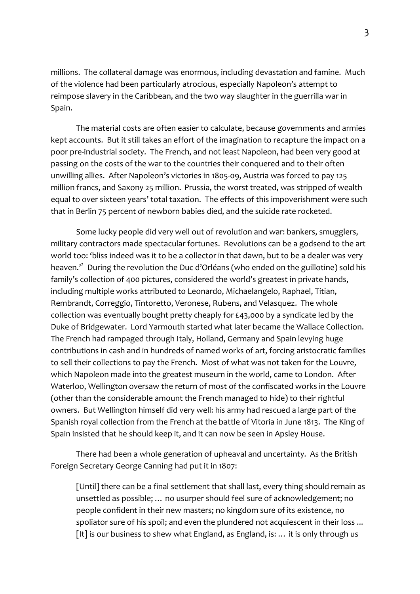millions. The collateral damage was enormous, including devastation and famine. Much of the violence had been particularly atrocious, especially Napoleon's attempt to reimpose slavery in the Caribbean, and the two way slaughter in the guerrilla war in Spain.

The material costs are often easier to calculate, because governments and armies kept accounts. But it still takes an effort of the imagination to recapture the impact on a poor pre-industrial society. The French, and not least Napoleon, had been very good at passing on the costs of the war to the countries their conquered and to their often unwilling allies. After Napoleon's victories in 1805-09, Austria was forced to pay 125 million francs, and Saxony 25 million. Prussia, the worst treated, was stripped of wealth equal to over sixteen years' total taxation. The effects of this impoverishment were such that in Berlin 75 percent of newborn babies died, and the suicide rate rocketed.

Some lucky people did very well out of revolution and war: bankers, smugglers, military contractors made spectacular fortunes. Revolutions can be a godsend to the art world too: 'bliss indeed was it to be a collector in that dawn, but to be a dealer was very heaven.<sup>22</sup> During the revolution the Duc d'Orléans (who ended on the guillotine) sold his family's collection of 400 pictures, considered the world's greatest in private hands, including multiple works attributed to Leonardo, Michaelangelo, Raphael, Titian, Rembrandt, Correggio, Tintoretto, Veronese, Rubens, and Velasquez. The whole collection was eventually bought pretty cheaply for £43,000 by a syndicate led by the Duke of Bridgewater. Lord Yarmouth started what later became the Wallace Collection. The French had rampaged through Italy, Holland, Germany and Spain levying huge contributions in cash and in hundreds of named works of art, forcing aristocratic families to sell their collections to pay the French. Most of what was not taken for the Louvre, which Napoleon made into the greatest museum in the world, came to London. After Waterloo, Wellington oversaw the return of most of the confiscated works in the Louvre (other than the considerable amount the French managed to hide) to their rightful owners. But Wellington himself did very well: his army had rescued a large part of the Spanish royal collection from the French at the battle of Vitoria in June 1813. The King of Spain insisted that he should keep it, and it can now be seen in Apsley House.

There had been a whole generation of upheaval and uncertainty. As the British Foreign Secretary George Canning had put it in 1807:

[Until] there can be a final settlement that shall last, every thing should remain as unsettled as possible; … no usurper should feel sure of acknowledgement; no people confident in their new masters; no kingdom sure of its existence, no spoliator sure of his spoil; and even the plundered not acquiescent in their loss ... [It] is our business to shew what England, as England, is: ... it is only through us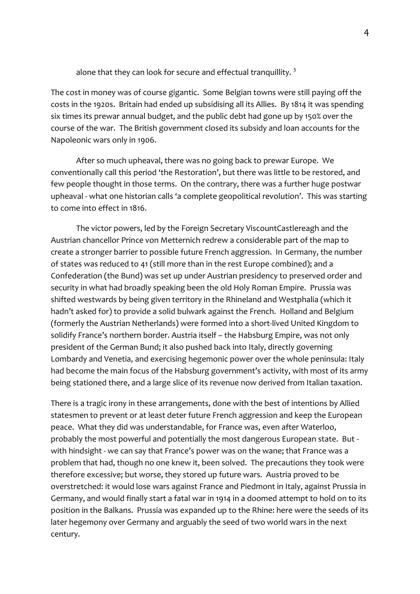alone that they can look for secure and effectual tranquillity.  $3$ 

The cost in money was of course gigantic. Some Belgian towns were still paying off the costs in the 1920s. Britain had ended up subsidising all its Allies. By 1814 it was spending six times its prewar annual budget, and the public debt had gone up by 150% over the course of the war. The British government closed its subsidy and loan accounts for the Napoleonic wars only in 1906.

After so much upheaval, there was no going back to prewar Europe. We conventionally call this period 'the Restoration', but there was little to be restored, and few people thought in those terms. On the contrary, there was a further huge postwar upheaval - what one historian calls 'a complete geopolitical revolution'. This was starting to come into effect in 1816.

The victor powers, led by the Foreign Secretary ViscountCastlereagh and the Austrian chancellor Prince von Metternich redrew a considerable part of the map to create a stronger barrier to possible future French aggression. In Germany, the number of states was reduced to 41 (still more than in the rest Europe combined); and a Confederation (the Bund) was set up under Austrian presidency to preserved order and security in what had broadly speaking been the old Holy Roman Empire. Prussia was shifted westwards by being given territory in the Rhineland and Westphalia (which it hadn't asked for) to provide a solid bulwark against the French. Holland and Belgium (formerly the Austrian Netherlands) were formed into a short-lived United Kingdom to solidify France's northern border. Austria itself – the Habsburg Empire, was not only president of the German Bund; it also pushed back into Italy, directly governing Lombardy and Venetia, and exercising hegemonic power over the whole peninsula: Italy had become the main focus of the Habsburg government's activity, with most of its army being stationed there, and a large slice of its revenue now derived from Italian taxation.

There is a tragic irony in these arrangements, done with the best of intentions by Allied statesmen to prevent or at least deter future French aggression and keep the European peace. What they did was understandable, for France was, even after Waterloo, probably the most powerful and potentially the most dangerous European state. But with hindsight - we can say that France's power was on the wane; that France was a problem that had, though no one knew it, been solved. The precautions they took were therefore excessive; but worse, they stored up future wars. Austria proved to be overstretched: it would lose wars against France and Piedmont in Italy, against Prussia in Germany, and would finally start a fatal war in 1914 in a doomed attempt to hold on to its position in the Balkans. Prussia was expanded up to the Rhine: here were the seeds of its later hegemony over Germany and arguably the seed of two world wars in the next century.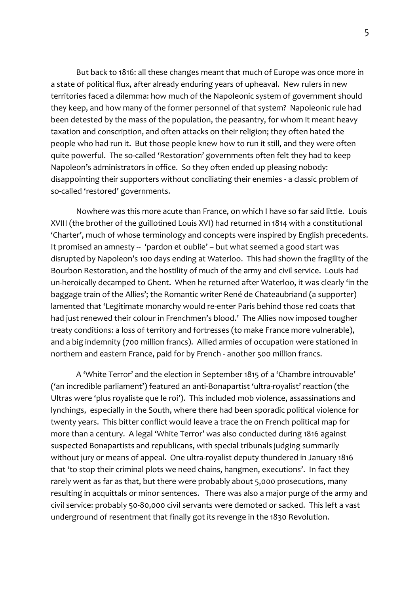But back to 1816: all these changes meant that much of Europe was once more in a state of political flux, after already enduring years of upheaval. New rulers in new territories faced a dilemma: how much of the Napoleonic system of government should they keep, and how many of the former personnel of that system? Napoleonic rule had been detested by the mass of the population, the peasantry, for whom it meant heavy taxation and conscription, and often attacks on their religion; they often hated the people who had run it. But those people knew how to run it still, and they were often quite powerful. The so-called 'Restoration' governments often felt they had to keep Napoleon's administrators in office. So they often ended up pleasing nobody: disappointing their supporters without conciliating their enemies - a classic problem of so-called 'restored' governments.

Nowhere was this more acute than France, on which I have so far said little. Louis XVIII (the brother of the guillotined Louis XVI) had returned in 1814 with a constitutional 'Charter', much of whose terminology and concepts were inspired by English precedents. It promised an amnesty -- 'pardon et oublie' – but what seemed a good start was disrupted by Napoleon's 100 days ending at Waterloo. This had shown the fragility of the Bourbon Restoration, and the hostility of much of the army and civil service. Louis had un-heroically decamped to Ghent. When he returned after Waterloo, it was clearly 'in the baggage train of the Allies'; the Romantic writer René de Chateaubriand (a supporter) lamented that 'Legitimate monarchy would re-enter Paris behind those red coats that had just renewed their colour in Frenchmen's blood.' The Allies now imposed tougher treaty conditions: a loss of territory and fortresses (to make France more vulnerable), and a big indemnity (700 million francs). Allied armies of occupation were stationed in northern and eastern France, paid for by French - another 500 million francs.

A 'White Terror' and the election in September 1815 of a 'Chambre introuvable' ('an incredible parliament') featured an anti-Bonapartist 'ultra-royalist' reaction (the Ultras were 'plus royaliste que le roi'). This included mob violence, assassinations and lynchings, especially in the South, where there had been sporadic political violence for twenty years. This bitter conflict would leave a trace the on French political map for more than a century. A legal 'White Terror' was also conducted during 1816 against suspected Bonapartists and republicans, with special tribunals judging summarily without jury or means of appeal. One ultra-royalist deputy thundered in January 1816 that 'to stop their criminal plots we need chains, hangmen, executions'. In fact they rarely went as far as that, but there were probably about 5,000 prosecutions, many resulting in acquittals or minor sentences. There was also a major purge of the army and civil service: probably 50-80,000 civil servants were demoted or sacked. This left a vast underground of resentment that finally got its revenge in the 1830 Revolution.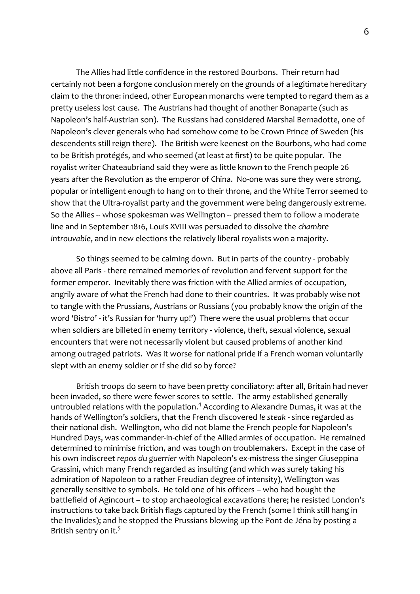The Allies had little confidence in the restored Bourbons. Their return had certainly not been a forgone conclusion merely on the grounds of a legitimate hereditary claim to the throne: indeed, other European monarchs were tempted to regard them as a pretty useless lost cause. The Austrians had thought of another Bonaparte (such as Napoleon's half-Austrian son). The Russians had considered Marshal Bernadotte, one of Napoleon's clever generals who had somehow come to be Crown Prince of Sweden (his descendents still reign there). The British were keenest on the Bourbons, who had come to be British protégés, and who seemed (at least at first) to be quite popular. The royalist writer Chateaubriand said they were as little known to the French people 26 years after the Revolution as the emperor of China. No-one was sure they were strong, popular or intelligent enough to hang on to their throne, and the White Terror seemed to show that the Ultra-royalist party and the government were being dangerously extreme. So the Allies -- whose spokesman was Wellington -- pressed them to follow a moderate line and in September 1816, Louis XVIII was persuaded to dissolve the *chambre introuvable*, and in new elections the relatively liberal royalists won a majority.

So things seemed to be calming down. But in parts of the country - probably above all Paris - there remained memories of revolution and fervent support for the former emperor. Inevitably there was friction with the Allied armies of occupation, angrily aware of what the French had done to their countries. It was probably wise not to tangle with the Prussians, Austrians or Russians (you probably know the origin of the word 'Bistro' - it's Russian for 'hurry up!') There were the usual problems that occur when soldiers are billeted in enemy territory - violence, theft, sexual violence, sexual encounters that were not necessarily violent but caused problems of another kind among outraged patriots. Was it worse for national pride if a French woman voluntarily slept with an enemy soldier or if she did so by force?

British troops do seem to have been pretty conciliatory: after all, Britain had never been invaded, so there were fewer scores to settle. The army established generally untroubled relations with the population.<sup>4</sup> According to Alexandre Dumas, it was at the hands of Wellington's soldiers, that the French discovered *le steak* - since regarded as their national dish. Wellington, who did not blame the French people for Napoleon's Hundred Days, was commander-in-chief of the Allied armies of occupation. He remained determined to minimise friction, and was tough on troublemakers. Except in the case of his own indiscreet *repos du guerrier* with Napoleon's ex-mistress the singer Giuseppina Grassini, which many French regarded as insulting (and which was surely taking his admiration of Napoleon to a rather Freudian degree of intensity), Wellington was generally sensitive to symbols. He told one of his officers – who had bought the battlefield of Agincourt – to stop archaeological excavations there; he resisted London's instructions to take back British flags captured by the French (some I think still hang in the Invalides); and he stopped the Prussians blowing up the Pont de Jéna by posting a British sentry on it.<sup>5</sup>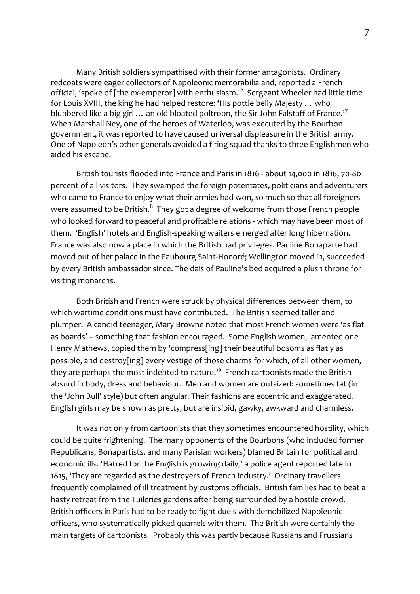Many British soldiers sympathised with their former antagonists. Ordinary redcoats were eager collectors of Napoleonic memorabilia and, reported a French official, 'spoke of [the ex-emperor] with enthusiasm.'<sup>6</sup> Sergeant Wheeler had little time for Louis XVIII, the king he had helped restore: 'His pottle belly Majesty … who blubbered like a big girl  $\ldots$  an old bloated poltroon, the Sir John Falstaff of France.'<sup>7</sup> When Marshall Ney, one of the heroes of Waterloo, was executed by the Bourbon government, it was reported to have caused universal displeasure in the British army. One of Napoleon's other generals avoided a firing squad thanks to three Englishmen who aided his escape.

British tourists flooded into France and Paris in 1816 - about 14,000 in 1816, 70-80 percent of all visitors. They swamped the foreign potentates, politicians and adventurers who came to France to enjoy what their armies had won, so much so that all foreigners were assumed to be British. $^8\,$  They got a degree of welcome from those French people who looked forward to peaceful and profitable relations - which may have been most of them. 'English' hotels and English-speaking waiters emerged after long hibernation. France was also now a place in which the British had privileges. Pauline Bonaparte had moved out of her palace in the Faubourg Saint-Honoré; Wellington moved in, succeeded by every British ambassador since. The dais of Pauline's bed acquired a plush throne for visiting monarchs.

Both British and French were struck by physical differences between them, to which wartime conditions must have contributed. The British seemed taller and plumper. A candid teenager, Mary Browne noted that most French women were 'as flat as boards' – something that fashion encouraged. Some English women, lamented one Henry Mathews, copied them by 'compress[ing] their beautiful bosoms as flatly as possible, and destroy[ing] every vestige of those charms for which, of all other women, they are perhaps the most indebted to nature.<sup>19</sup> French cartoonists made the British absurd in body, dress and behaviour. Men and women are outsized: sometimes fat (in the 'John Bull' style) but often angular. Their fashions are eccentric and exaggerated. English girls may be shown as pretty, but are insipid, gawky, awkward and charmless.

It was not only from cartoonists that they sometimes encountered hostility, which could be quite frightening. The many opponents of the Bourbons (who included former Republicans, Bonapartists, and many Parisian workers) blamed Britain for political and economic ills. 'Hatred for the English is growing daily,' a police agent reported late in 1815, 'They are regarded as the destroyers of French industry.' Ordinary travellers frequently complained of ill treatment by customs officials. British families had to beat a hasty retreat from the Tuileries gardens after being surrounded by a hostile crowd. British officers in Paris had to be ready to fight duels with demobilized Napoleonic officers, who systematically picked quarrels with them. The British were certainly the main targets of cartoonists. Probably this was partly because Russians and Prussians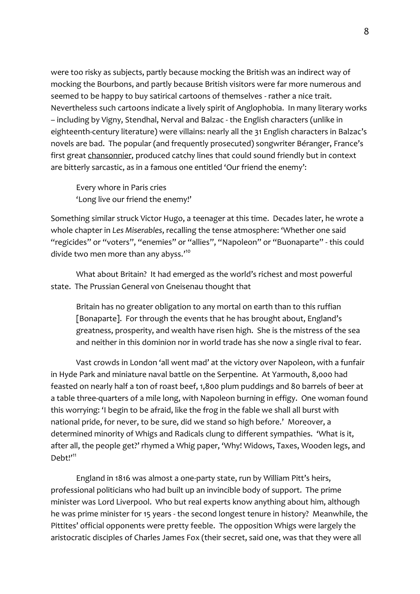were too risky as subjects, partly because mocking the British was an indirect way of mocking the Bourbons, and partly because British visitors were far more numerous and seemed to be happy to buy satirical cartoons of themselves - rather a nice trait. Nevertheless such cartoons indicate a lively spirit of Anglophobia. In many literary works – including by Vigny, Stendhal, Nerval and Balzac - the English characters (unlike in eighteenth-century literature) were villains: nearly all the 31 English characters in Balzac's novels are bad. The popular (and frequently prosecuted) songwriter Béranger, France's first great chansonnier, produced catchy lines that could sound friendly but in context are bitterly sarcastic, as in a famous one entitled 'Our friend the enemy':

Every whore in Paris cries 'Long live our friend the enemy!'

Something similar struck Victor Hugo, a teenager at this time. Decades later, he wrote a whole chapter in *Les Miserables*, recalling the tense atmosphere: 'Whether one said "regicides" or "voters", "enemies" or "allies", "Napoleon" or "Buonaparte" - this could divide two men more than any abyss.'<sup>10</sup>

What about Britain? It had emerged as the world's richest and most powerful state. The Prussian General von Gneisenau thought that

Britain has no greater obligation to any mortal on earth than to this ruffian [Bonaparte]. For through the events that he has brought about, England's greatness, prosperity, and wealth have risen high. She is the mistress of the sea and neither in this dominion nor in world trade has she now a single rival to fear.

Vast crowds in London 'all went mad' at the victory over Napoleon, with a funfair in Hyde Park and miniature naval battle on the Serpentine. At Yarmouth, 8,000 had feasted on nearly half a ton of roast beef, 1,800 plum puddings and 80 barrels of beer at a table three-quarters of a mile long, with Napoleon burning in effigy. One woman found this worrying: 'I begin to be afraid, like the frog in the fable we shall all burst with national pride, for never, to be sure, did we stand so high before.' Moreover, a determined minority of Whigs and Radicals clung to different sympathies. 'What is it, after all, the people get?' rhymed a Whig paper, 'Why! Widows, Taxes, Wooden legs, and Debt!'<sup>11</sup>

England in 1816 was almost a one-party state, run by William Pitt's heirs, professional politicians who had built up an invincible body of support. The prime minister was Lord Liverpool. Who but real experts know anything about him, although he was prime minister for 15 years - the second longest tenure in history? Meanwhile, the Pittites' official opponents were pretty feeble. The opposition Whigs were largely the aristocratic disciples of Charles James Fox (their secret, said one, was that they were all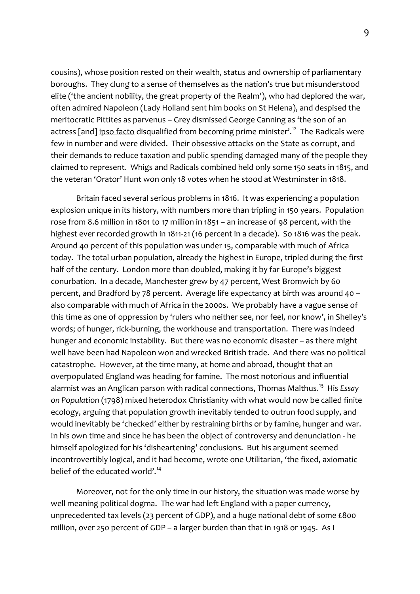cousins), whose position rested on their wealth, status and ownership of parliamentary boroughs. They clung to a sense of themselves as the nation's true but misunderstood elite ('the ancient nobility, the great property of the Realm'), who had deplored the war, often admired Napoleon (Lady Holland sent him books on St Helena), and despised the meritocratic Pittites as parvenus – Grey dismissed George Canning as 'the son of an actress [and] ipso facto disqualified from becoming prime minister'.<sup>12</sup> The Radicals were few in number and were divided. Their obsessive attacks on the State as corrupt, and their demands to reduce taxation and public spending damaged many of the people they claimed to represent. Whigs and Radicals combined held only some 150 seats in 1815, and the veteran 'Orator' Hunt won only 18 votes when he stood at Westminster in 1818.

Britain faced several serious problems in 1816. It was experiencing a population explosion unique in its history, with numbers more than tripling in 150 years. Population rose from 8.6 million in 1801 to 17 million in 1851 – an increase of 98 percent, with the highest ever recorded growth in 1811-21 (16 percent in a decade). So 1816 was the peak. Around 40 percent of this population was under 15, comparable with much of Africa today. The total urban population, already the highest in Europe, tripled during the first half of the century. London more than doubled, making it by far Europe's biggest conurbation. In a decade, Manchester grew by 47 percent, West Bromwich by 60 percent, and Bradford by 78 percent. Average life expectancy at birth was around 40 – also comparable with much of Africa in the 2000s. We probably have a vague sense of this time as one of oppression by 'rulers who neither see, nor feel, nor know', in Shelley's words; of hunger, rick-burning, the workhouse and transportation. There was indeed hunger and economic instability. But there was no economic disaster – as there might well have been had Napoleon won and wrecked British trade. And there was no political catastrophe. However, at the time many, at home and abroad, thought that an overpopulated England was heading for famine. The most notorious and influential alarmist was an Anglican parson with radical connections, Thomas Malthus.<sup>13</sup> His *Essay on Population* (1798) mixed heterodox Christianity with what would now be called finite ecology, arguing that population growth inevitably tended to outrun food supply, and would inevitably be 'checked' either by restraining births or by famine, hunger and war. In his own time and since he has been the object of controversy and denunciation - he himself apologized for his 'disheartening' conclusions. But his argument seemed incontrovertibly logical, and it had become, wrote one Utilitarian, 'the fixed, axiomatic belief of the educated world'.<sup>14</sup>

Moreover, not for the only time in our history, the situation was made worse by well meaning political dogma. The war had left England with a paper currency, unprecedented tax levels (23 percent of GDP), and a huge national debt of some £800 million, over 250 percent of GDP – a larger burden than that in 1918 or 1945. As I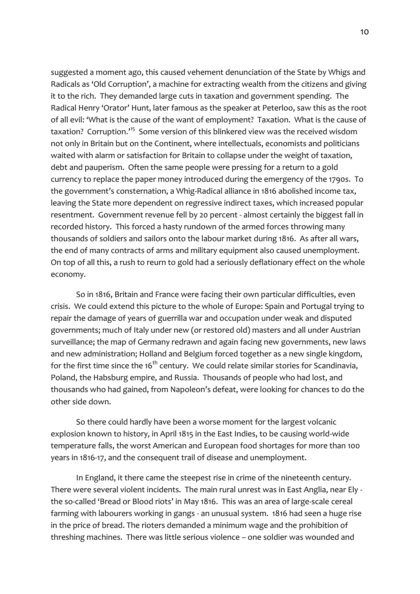suggested a moment ago, this caused vehement denunciation of the State by Whigs and Radicals as 'Old Corruption', a machine for extracting wealth from the citizens and giving it to the rich. They demanded large cuts in taxation and government spending. The Radical Henry 'Orator' Hunt, later famous as the speaker at Peterloo, saw this as the root of all evil: 'What is the cause of the want of employment? Taxation. What is the cause of taxation? Corruption.<sup>15</sup> Some version of this blinkered view was the received wisdom not only in Britain but on the Continent, where intellectuals, economists and politicians waited with alarm or satisfaction for Britain to collapse under the weight of taxation, debt and pauperism. Often the same people were pressing for a return to a gold currency to replace the paper money introduced during the emergency of the 1790s. To the government's consternation, a Whig-Radical alliance in 1816 abolished income tax, leaving the State more dependent on regressive indirect taxes, which increased popular resentment. Government revenue fell by 20 percent - almost certainly the biggest fall in recorded history. This forced a hasty rundown of the armed forces throwing many thousands of soldiers and sailors onto the labour market during 1816. As after all wars, the end of many contracts of arms and military equipment also caused unemployment. On top of all this, a rush to reurn to gold had a seriously deflationary effect on the whole economy.

So in 1816, Britain and France were facing their own particular difficulties, even crisis. We could extend this picture to the whole of Europe: Spain and Portugal trying to repair the damage of years of guerrilla war and occupation under weak and disputed governments; much of Italy under new (or restored old) masters and all under Austrian surveillance; the map of Germany redrawn and again facing new governments, new laws and new administration; Holland and Belgium forced together as a new single kingdom, for the first time since the 16<sup>th</sup> century. We could relate similar stories for Scandinavia, Poland, the Habsburg empire, and Russia. Thousands of people who had lost, and thousands who had gained, from Napoleon's defeat, were looking for chances to do the other side down.

So there could hardly have been a worse moment for the largest volcanic explosion known to history, in April 1815 in the East Indies, to be causing world-wide temperature falls, the worst American and European food shortages for more than 100 years in 1816-17, and the consequent trail of disease and unemployment.

In England, it there came the steepest rise in crime of the nineteenth century. There were several violent incidents. The main rural unrest was in East Anglia, near Ely the so-called 'Bread or Blood riots' in May 1816. This was an area of large-scale cereal farming with labourers working in gangs - an unusual system. 1816 had seen a huge rise in the price of bread. The rioters demanded a minimum wage and the prohibition of threshing machines. There was little serious violence – one soldier was wounded and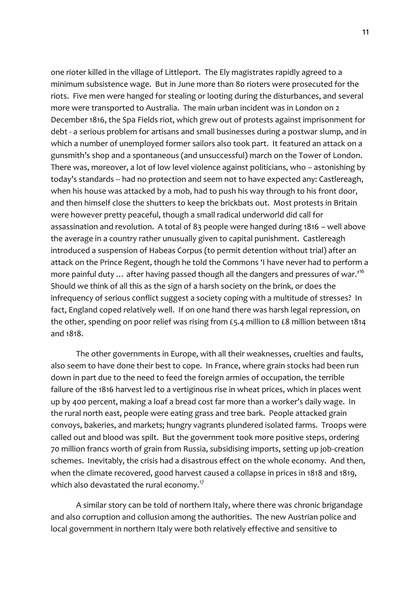one rioter killed in the village of Littleport. The Ely magistrates rapidly agreed to a minimum subsistence wage. But in June more than 80 rioters were prosecuted for the riots. Five men were hanged for stealing or looting during the disturbances, and several more were transported to Australia. The main urban incident was in London on 2 December 1816, the Spa Fields riot, which grew out of protests against imprisonment for debt - a serious problem for artisans and small businesses during a postwar slump, and in which a number of unemployed former sailors also took part. It featured an attack on a gunsmith's shop and a spontaneous (and unsuccessful) march on the Tower of London. There was, moreover, a lot of low level violence against politicians, who -- astonishing by today's standards -- had no protection and seem not to have expected any: Castlereagh, when his house was attacked by a mob, had to push his way through to his front door, and then himself close the shutters to keep the brickbats out. Most protests in Britain were however pretty peaceful, though a small radical underworld did call for assassination and revolution. A total of 83 people were hanged during 1816 – well above the average in a country rather unusually given to capital punishment. Castlereagh introduced a suspension of Habeas Corpus (to permit detention without trial) after an attack on the Prince Regent, though he told the Commons 'I have never had to perform a more painful duty  $\ldots$  after having passed though all the dangers and pressures of war.'<sup>16</sup> Should we think of all this as the sign of a harsh society on the brink, or does the infrequency of serious conflict suggest a society coping with a multitude of stresses? In fact, England coped relatively well. If on one hand there was harsh legal repression, on the other, spending on poor relief was rising from £5.4 million to £8 million between 1814 and 1818.

The other governments in Europe, with all their weaknesses, cruelties and faults, also seem to have done their best to cope. In France, where grain stocks had been run down in part due to the need to feed the foreign armies of occupation, the terrible failure of the 1816 harvest led to a vertiginous rise in wheat prices, which in places went up by 400 percent, making a loaf a bread cost far more than a worker's daily wage. In the rural north east, people were eating grass and tree bark. People attacked grain convoys, bakeries, and markets; hungry vagrants plundered isolated farms. Troops were called out and blood was spilt. But the government took more positive steps, ordering 70 million francs worth of grain from Russia, subsidising imports, setting up job-creation schemes. Inevitably, the crisis had a disastrous effect on the whole economy. And then, when the climate recovered, good harvest caused a collapse in prices in 1818 and 1819, which also devastated the rural economy. $^{17}$ 

A similar story can be told of northern Italy, where there was chronic brigandage and also corruption and collusion among the authorities. The new Austrian police and local government in northern Italy were both relatively effective and sensitive to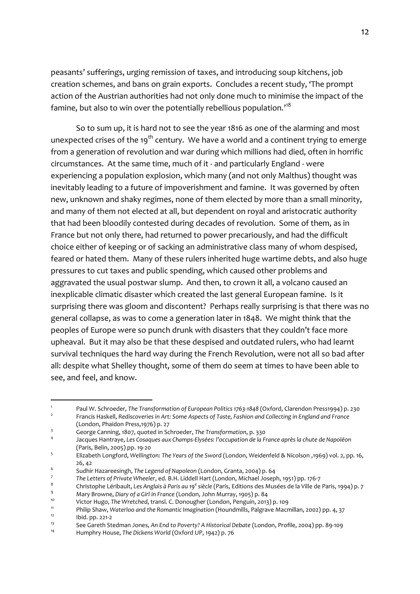peasants' sufferings, urging remission of taxes, and introducing soup kitchens, job creation schemes, and bans on grain exports. Concludes a recent study, 'The prompt action of the Austrian authorities had not only done much to minimise the impact of the famine, but also to win over the potentially rebellious population.<sup>18</sup>

So to sum up, it is hard not to see the year 1816 as one of the alarming and most unexpected crises of the 19<sup>th</sup> century. We have a world and a continent trying to emerge from a generation of revolution and war during which millions had died, often in horrific circumstances. At the same time, much of it - and particularly England - were experiencing a population explosion, which many (and not only Malthus) thought was inevitably leading to a future of impoverishment and famine. It was governed by often new, unknown and shaky regimes, none of them elected by more than a small minority, and many of them not elected at all, but dependent on royal and aristocratic authority that had been bloodily contested during decades of revolution. Some of them, as in France but not only there, had returned to power precariously, and had the difficult choice either of keeping or of sacking an administrative class many of whom despised, feared or hated them. Many of these rulers inherited huge wartime debts, and also huge pressures to cut taxes and public spending, which caused other problems and aggravated the usual postwar slump. And then, to crown it all, a volcano caused an inexplicable climatic disaster which created the last general European famine. Is it surprising there was gloom and discontent? Perhaps really surprising is that there was no general collapse, as was to come a generation later in 1848. We might think that the peoples of Europe were so punch drunk with disasters that they couldn't face more upheaval. But it may also be that these despised and outdated rulers, who had learnt survival techniques the hard way during the French Revolution, were not all so bad after all: despite what Shelley thought, some of them do seem at times to have been able to see, and feel, and know.

<sup>-</sup>1 Paul W. Schroeder, *The Transformation of European Politics 1763-1848* (Oxford, Clarendon Press1994) p. 230  $\overline{2}$ Francis Haskell, *Rediscoveries in Art: Some Aspects of Taste, Fashion and Collecting in England and France*

<sup>(</sup>London, Phaidon Press,1976) p. 27

<sup>3</sup> George Canning, 1807, quoted in Schroeder, *The Transformation*, p. 330

<sup>4</sup> Jacques Hantraye, *Les Cosaques aux Champs-Elysées: l'occupation de la France après la chute de Napoléon* (Paris, Belin, 2005) pp. 19-20

<sup>5</sup> Elizabeth Longford, *Wellington: The Years of the Sword* (London, Weidenfeld & Nicolson ,1969) vol. 2, pp. 16, 26, 42

<sup>6</sup> Sudhir Hazareesingh, *The Legend of Napoleon* (London, Granta, 2004) p. 64

<sup>7</sup> *The Letters of Private Wheeler*, ed. B.H. Liddell Hart (London, Michael Joseph, 1951) pp. 176-7

<sup>8</sup> Christophe Léribault, Les Anglais à Paris au 19<sup>e</sup> siècle (Paris, Editions des Musées de la Ville de Paris, 1994) p. 7

<sup>9</sup> Mary Browne, *Diary of a Girl in France* (London, John Murray, 1905) p. 84

<sup>10</sup> Victor Hugo, *The Wretched*, transl. C. Donougher (London, Penguin, 2013) p. 109

<sup>11</sup> Philip Shaw, *Waterloo and the Romantic Imagination* (Houndmills, Palgrave Macmillan, 2002) pp. 4, 37  $12$  Ibid. pp. 221-2

<sup>13</sup> See Gareth Stedman Jones, *An End to Poverty? A Historical Debate* (London, Profile, 2004) pp. 89-109

<sup>14</sup> Humphry House, *The Dickens World* (Oxford UP, 1942) p. 76